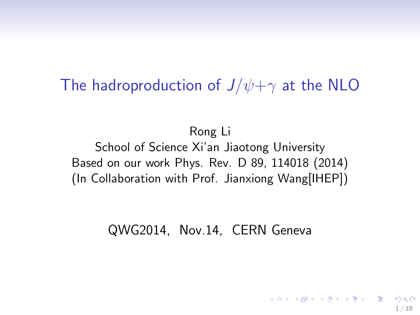### The hadroproduction of  $J/\psi + \gamma$  at the NLO

Rong Li School of Science Xi'an Jiaotong University Based on our work Phys. Rev. D 89, 114018 (2014) (In Collaboration with Prof. Jianxiong Wang[IHEP])

#### QWG2014, Nov.14, CERN Geneva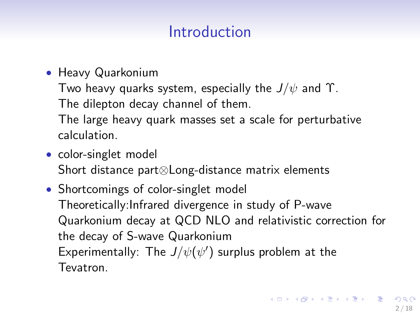## Introduction

• Heavy Quarkonium

Two heavy quarks system, especially the  $J/\psi$  and  $\Upsilon$ .

The dilepton decay channel of them.

The large heavy quark masses set a scale for perturbative calculation.

- color-singlet model Short distance part⊗Long-distance matrix elements
- Shortcomings of color-singlet model Theoretically:Infrared divergence in study of P-wave Quarkonium decay at QCD NLO and relativistic correction for the decay of S-wave Quarkonium Experimentally: The  $J/\psi(\psi')$  surplus problem at the Tevatron.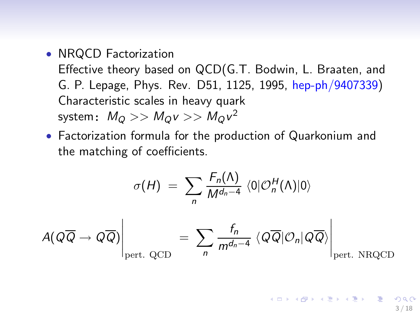• NRQCD Factorization

Effective theory based on QCD(G.T. Bodwin, L. Braaten, and G. P. Lepage, Phys. Rev. D51, 1125, 1995, hep-ph/9407339) Characteristic scales in heavy quark system $\colon\ M_Q>>M_Q$ v $>>M_Q$ v $^2$ 

• Factorization formula for the production of Quarkonium and the matching of coefficients.

$$
\sigma(H) = \sum_{n} \frac{F_n(\Lambda)}{M^{d_n-4}} \langle 0 | \mathcal{O}_n^H(\Lambda) | 0 \rangle
$$

$$
A(Q\overline{Q} \to Q\overline{Q}) \Big|_{\text{pert. QCD}} = \sum_{n} \frac{f_n}{m^{d_n-4}} \langle Q\overline{Q} | \mathcal{O}_n | Q\overline{Q} \rangle \Big|_{\text{pert. NRQCD}}
$$

F (A)

K ロ X K (日) X X ミ X X ミ X ミ コ 3 / 18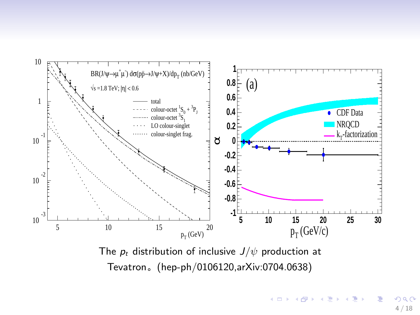

The  $p_t$  distribution of inclusive  $J/\psi$  production at Tevatron. (hep-ph/0106120,arXiv:0704.0638)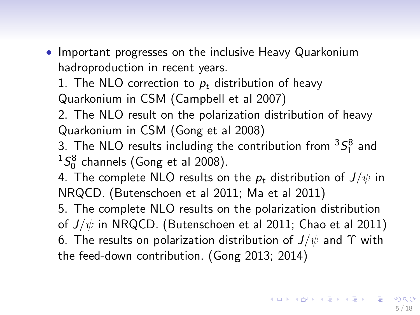- Important progresses on the inclusive Heavy Quarkonium hadroproduction in recent years.
	- 1. The NLO correction to  $p_t$  distribution of heavy Quarkonium in CSM (Campbell et al 2007)

2. The NLO result on the polarization distribution of heavy Quarkonium in CSM (Gong et al 2008)

- 3. The NLO results including the contribution from  ${}^{3}S_{1}^{8}$  and  ${}^{1}S_{0}^{8}$  channels (Gong et al 2008).
- 4. The complete NLO results on the  $p_t$  distribution of  $J/\psi$  in NRQCD. (Butenschoen et al 2011; Ma et al 2011)
- 5. The complete NLO results on the polarization distribution of  $J/\psi$  in NRQCD. (Butenschoen et al 2011; Chao et al 2011) 6. The results on polarization distribution of  $J/\psi$  and  $\Upsilon$  with the feed-down contribution. (Gong 2013; 2014)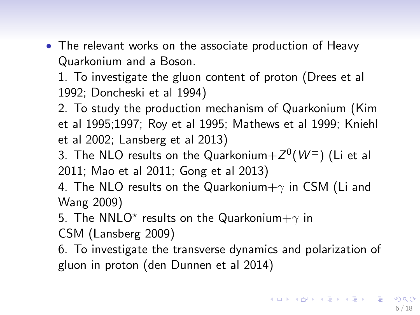• The relevant works on the associate production of Heavy Quarkonium and a Boson.

1. To investigate the gluon content of proton (Drees et al 1992; Doncheski et al 1994)

2. To study the production mechanism of Quarkonium (Kim et al 1995;1997; Roy et al 1995; Mathews et al 1999; Kniehl et al 2002; Lansberg et al 2013)

- 3. The NLO results on the Quarkonium $+Z^0(W^\pm)$  (Li et al 2011; Mao et al 2011; Gong et al 2013)
- 4. The NLO results on the Quarkonium $+\gamma$  in CSM (Li and Wang 2009)

5. The NNLO\* results on the Quarkonium $+\gamma$  in

CSM (Lansberg 2009)

6. To investigate the transverse dynamics and polarization of gluon in proton (den Dunnen et al 2014)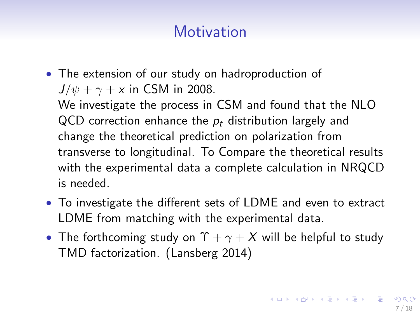# **Motivation**

• The extension of our study on hadroproduction of  $J/\psi + \gamma + x$  in CSM in 2008.

We investigate the process in CSM and found that the NLO QCD correction enhance the  $p_t$  distribution largely and change the theoretical prediction on polarization from transverse to longitudinal. To Compare the theoretical results with the experimental data a complete calculation in NRQCD is needed.

- To investigate the different sets of LDME and even to extract LDME from matching with the experimental data.
- The forthcoming study on  $\Upsilon + \gamma + X$  will be helpful to study TMD factorization. (Lansberg 2014)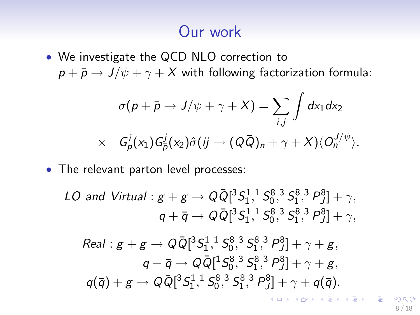## Our work

• We investigate the QCD NLO correction to  $p + \bar{p} \rightarrow J/\psi + \gamma + X$  with following factorization formula:

$$
\sigma(p + \bar{p} \to J/\psi + \gamma + X) = \sum_{i,j} \int dx_1 dx_2
$$
  
 
$$
\times G_p^i(x_1) G_{\bar{p}}^j(x_2) \hat{\sigma}(ij \to (Q\bar{Q})_n + \gamma + X) \langle O_n^{J/\psi} \rangle.
$$

• The relevant parton level processes:

*LO and Virtual*: 
$$
g + g \rightarrow Q\overline{Q}[^{3}S_{1}^{1}, {}^{1}S_{0}^{8}, {}^{3}S_{1}^{8}, {}^{3}P_{J}^{8}] + \gamma,
$$
  
 $q + \overline{q} \rightarrow Q\overline{Q}[^{3}S_{1}^{1}, {}^{1}S_{0}^{8}, {}^{3}S_{1}^{8}, {}^{3}P_{J}^{8}] + \gamma,$ 

Real : 
$$
g + g \rightarrow Q\overline{Q}[^{3}S_{1}^{1}, ^{1}S_{0}^{8}, ^{3}S_{1}^{8}, ^{3}P_{0}^{8}] + \gamma + g
$$
,  
\n $q + \overline{q} \rightarrow Q\overline{Q}[^{1}S_{0}^{8}, ^{3}S_{1}^{8}, ^{3}P_{0}^{8}] + \gamma + g$ ,  
\n $q(\overline{q}) + g \rightarrow Q\overline{Q}[^{3}S_{1}^{1}, ^{1}S_{0}^{8}, ^{3}S_{1}^{8}, ^{3}P_{0}^{8}] + \gamma + q(\overline{q})$ .

8 / 18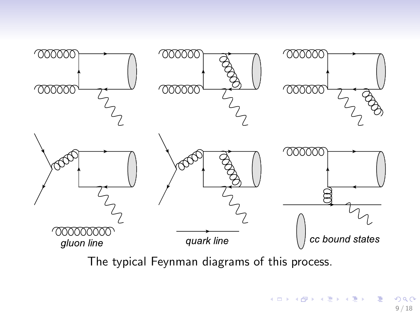

The typical Feynman diagrams of this process.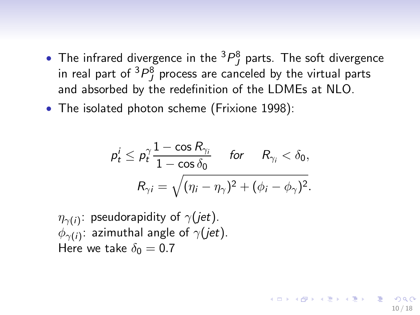- The infrared divergence in the  ${}^{3}P_{J}^{8}$  parts. The soft divergence in real part of  ${}^{3}P^8_J$  process are canceled by the virtual parts and absorbed by the redefinition of the LDMEs at NLO.
- The isolated photon scheme (Frixione 1998):

$$
\begin{aligned} \rho_t^i \leq \rho_t^\gamma \frac{1 - \cos R_{\gamma_i}}{1 - \cos \delta_0} \quad \textit{for} \quad R_{\gamma_i} < \delta_0, \\ R_{\gamma i} = \sqrt{(\eta_i - \eta_\gamma)^2 + (\phi_i - \phi_\gamma)^2}. \end{aligned}
$$

10 / 18

イロト 不優 トメ 差 トメ 差 トー 差し

 $\eta_{\gamma(i)}$ : pseudorapidity of  $\gamma(jet).$  $\phi_{\gamma(i)}$ : azimuthal angle of  $\gamma(jet).$ Here we take  $\delta_0 = 0.7$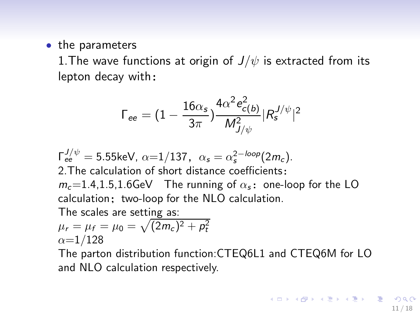#### • the parameters

1. The wave functions at origin of  $J/\psi$  is extracted from its  $lepton$  decay with:

$$
\Gamma_{\text{ee}} = (1 - \frac{16 \alpha_{\text{s}}}{3 \pi}) \frac{4 \alpha^2 e_{\text{c(b)}}^2}{M_{J/\psi}^2} |R_{\text{s}}^{J/\psi}|^2
$$

$$
\Gamma_{ee}^{J/\psi}
$$
 = 5.55keV,  $\alpha$ =1/137,  $\alpha_s = \alpha_s^{2-loop}(2m_c)$ .  
2. The calculation of short distance coefficients:  
 $m_c$ =1.4,1.5,1.6GeV The running of  $\alpha_s$ : one-loop for the LO calculation; two-loop for the NLO calculation.

The scales are setting as:

$$
\mu_r = \mu_f = \mu_0 = \sqrt{(2m_c)^2 + p_t^2}
$$
  

$$
\alpha = 1/128
$$

The parton distribution function:CTEQ6L1 and CTEQ6M for LO and NLO calculation respectively.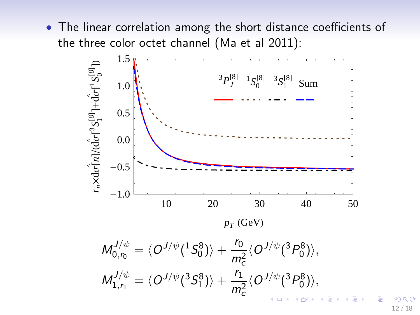• The linear correlation among the short distance coefficients of the three color octet channel (Ma et al 2011):

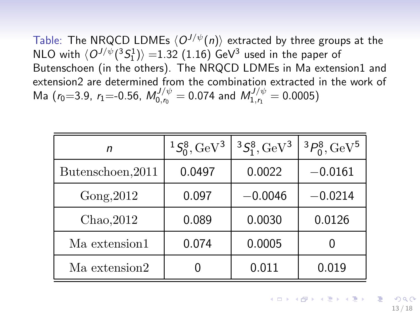Table: The NRQCD LDMEs  $\langle O^{J/\psi}(n) \rangle$  extracted by three groups at the NLO with  $\langle O^{J/\psi}(^{3}S_{1}^{1}) \rangle = 1.32$  (1.16) GeV<sup>3</sup> used in the paper of Butenschoen (in the others). The NRQCD LDMEs in Ma extension1 and extension2 are determined from the combination extracted in the work of Ma ( $r_0$ =3.9,  $r_1$ =-0.56,  $M_{0,r_0}^{J/\psi} = 0.074$  and  $M_{1,r_1}^{J/\psi} = 0.0005$ )

| n                 | ${}^{1}S_{0}^{8}$ , GeV <sup>3</sup> | ${}^{3}S_{1}^{8}$ , GeV <sup>3</sup> | ${}^{3}P_{0}^{8}$ , GeV <sup>5</sup> |
|-------------------|--------------------------------------|--------------------------------------|--------------------------------------|
| Butenschoen, 2011 | 0.0497                               | 0.0022                               | $-0.0161$                            |
| Gong, 2012        | 0.097                                | $-0.0046$                            | $-0.0214$                            |
| Chao, 2012        | 0.089                                | 0.0030                               | 0.0126                               |
| Ma extension1     | 0.074                                | 0.0005                               |                                      |
| Ma extension2     |                                      | 0.011                                | 0.019                                |

イロト 不優 ト 不思 ト 不思 トー 温 13 / 18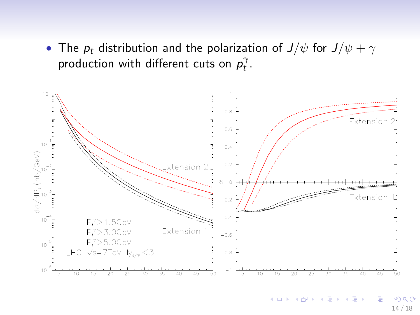• The  $p_t$  distribution and the polarization of  $J/\psi$  for  $J/\psi + \gamma$ production with different cuts on  $p_t^{\gamma}$ .

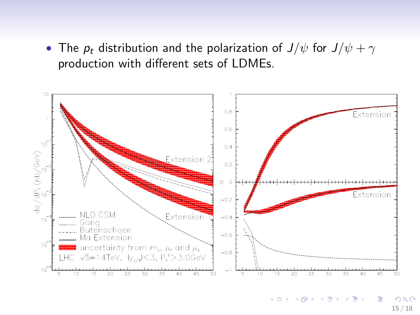• The  $p_t$  distribution and the polarization of  $J/\psi$  for  $J/\psi + \gamma$ production with different sets of LDMEs.

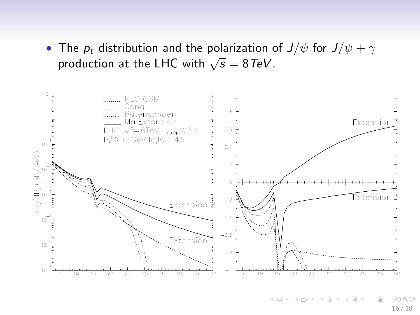• The  $p_t$  distribution and the polarization of  $J/\psi$  for  $J/\psi + \gamma$ production at the LHC with  $\sqrt{s} = 8 \text{TeV}$ .

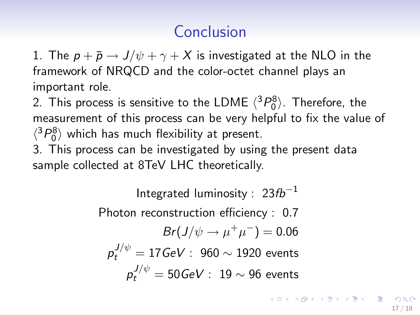# Conclusion

1. The  $p + \bar{p} \rightarrow J/\psi + \gamma + X$  is investigated at the NLO in the framework of NRQCD and the color-octet channel plays an important role.

2. This process is sensitive to the LDME  $\langle ^3P_0^8 \rangle$ . Therefore, the measurement of this process can be very helpful to fix the value of  $\langle ^3P_0^8 \rangle$  which has much flexibility at present.

3. This process can be investigated by using the present data sample collected at 8TeV LHC theoretically.

> Integrated luminosity :  $23fb^{-1}$ Photon reconstruction efficiency : 0.7  $Br(J/\psi \rightarrow \mu^+ \mu^-) = 0.06$  $p_t^{J/\psi} = 17 \text{GeV}$  :  $960 \sim 1920$  events  $p_t^{J/\psi} = 50 \text{GeV}$  : 19  $\sim$  96 events